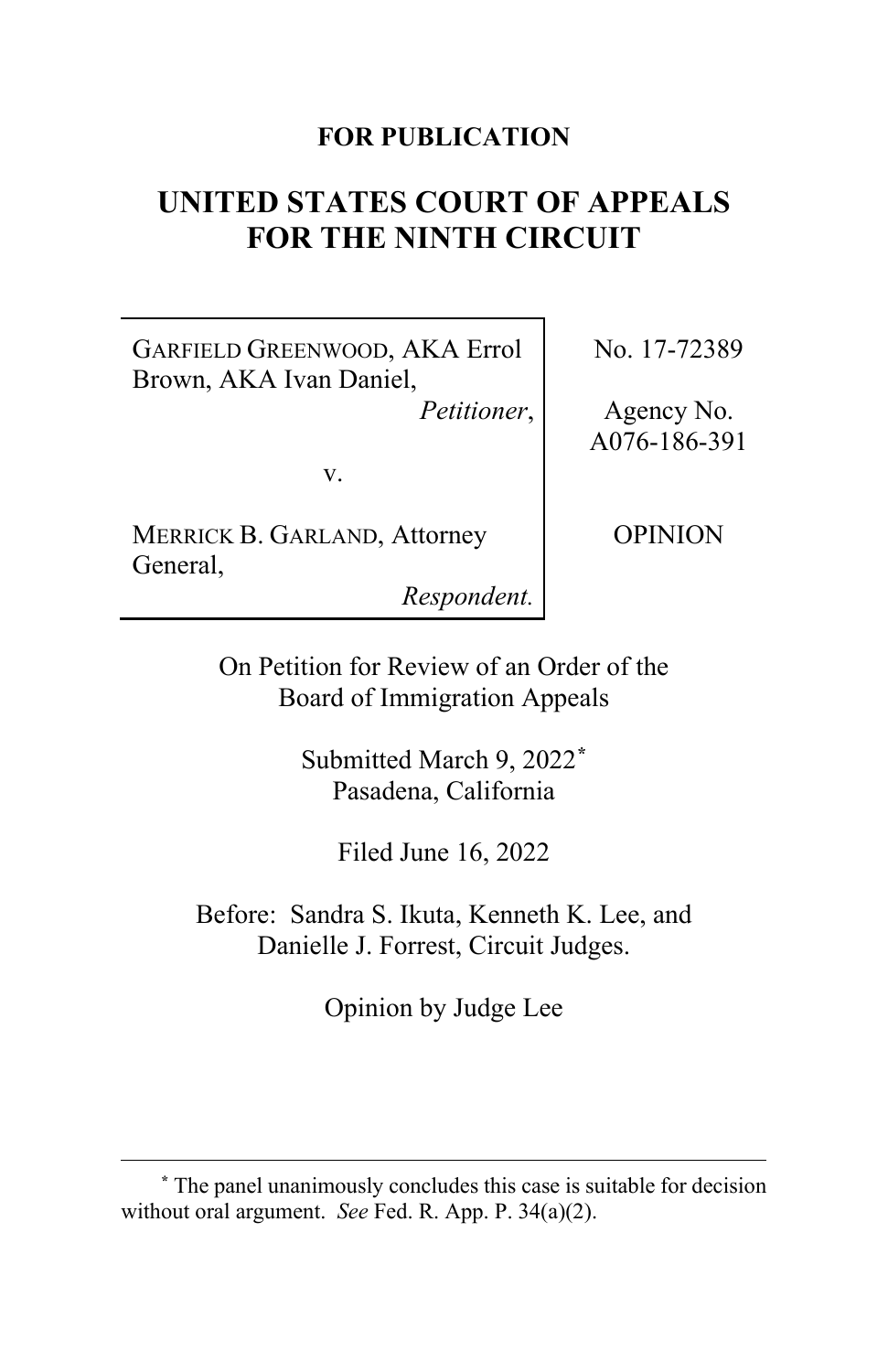## **FOR PUBLICATION**

# **UNITED STATES COURT OF APPEALS FOR THE NINTH CIRCUIT**

GARFIELD GREENWOOD, AKA Errol Brown, AKA Ivan Daniel,

*Petitioner*,

v.

MERRICK B. GARLAND, Attorney General,

*Respondent.*

No. 17-72389

Agency No. A076-186-391

OPINION

On Petition for Review of an Order of the Board of Immigration Appeals

> Submitted March 9, 2022**[\\*](#page-0-0)** Pasadena, California

> > Filed June 16, 2022

Before: Sandra S. Ikuta, Kenneth K. Lee, and Danielle J. Forrest, Circuit Judges.

Opinion by Judge Lee

<span id="page-0-0"></span>**<sup>\*</sup>** The panel unanimously concludes this case is suitable for decision without oral argument. *See* Fed. R. App. P. 34(a)(2).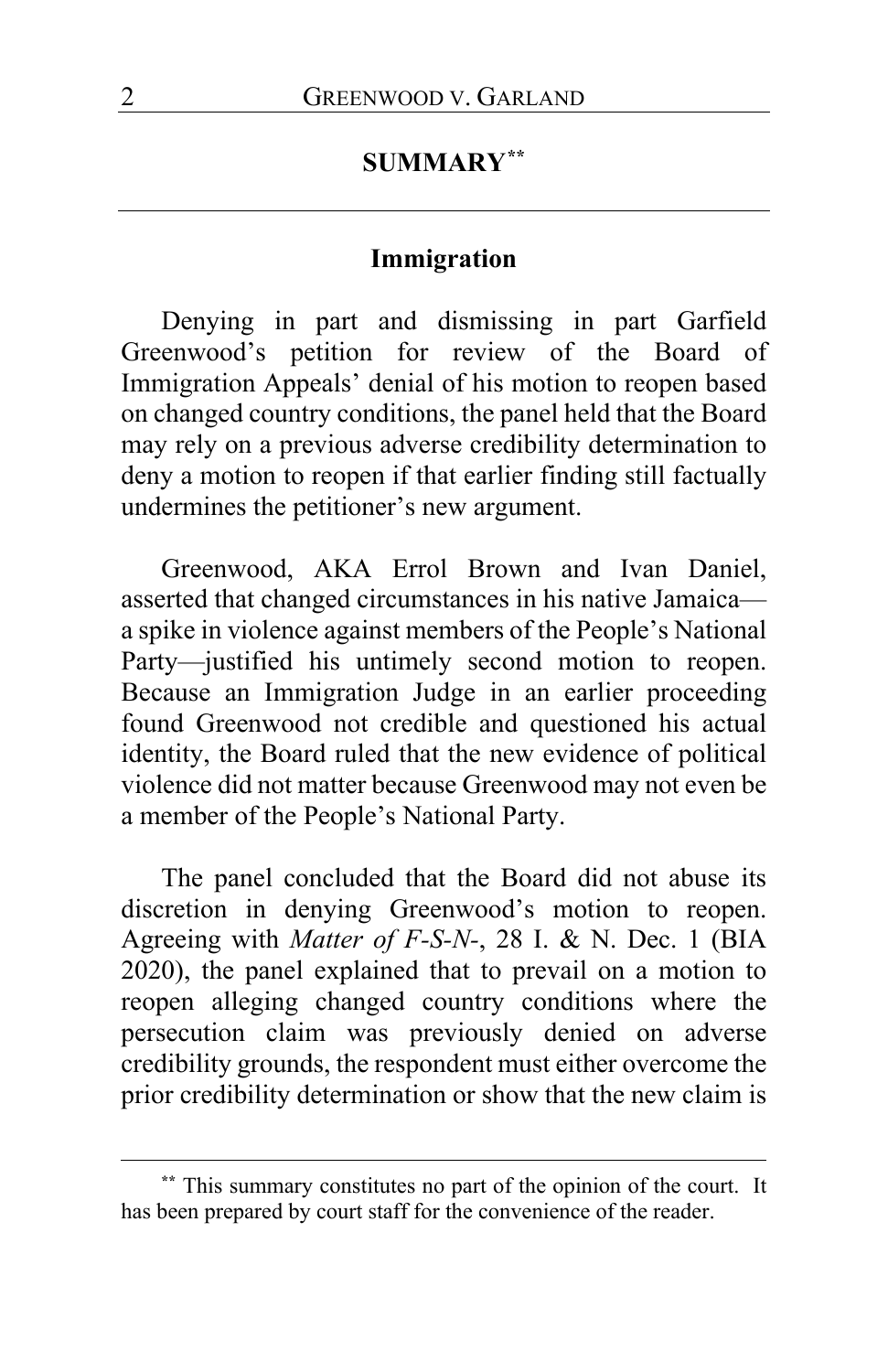#### **SUMMARY[\\*\\*](#page-1-0)**

## **Immigration**

Denying in part and dismissing in part Garfield Greenwood's petition for review of the Board of Immigration Appeals' denial of his motion to reopen based on changed country conditions, the panel held that the Board may rely on a previous adverse credibility determination to deny a motion to reopen if that earlier finding still factually undermines the petitioner's new argument.

Greenwood, AKA Errol Brown and Ivan Daniel, asserted that changed circumstances in his native Jamaica a spike in violence against members of the People's National Party—justified his untimely second motion to reopen. Because an Immigration Judge in an earlier proceeding found Greenwood not credible and questioned his actual identity, the Board ruled that the new evidence of political violence did not matter because Greenwood may not even be a member of the People's National Party.

The panel concluded that the Board did not abuse its discretion in denying Greenwood's motion to reopen. Agreeing with *Matter of F-S-N-*, 28 I. & N. Dec. 1 (BIA 2020), the panel explained that to prevail on a motion to reopen alleging changed country conditions where the persecution claim was previously denied on adverse credibility grounds, the respondent must either overcome the prior credibility determination or show that the new claim is

<span id="page-1-0"></span>**<sup>\*\*</sup>** This summary constitutes no part of the opinion of the court. It has been prepared by court staff for the convenience of the reader.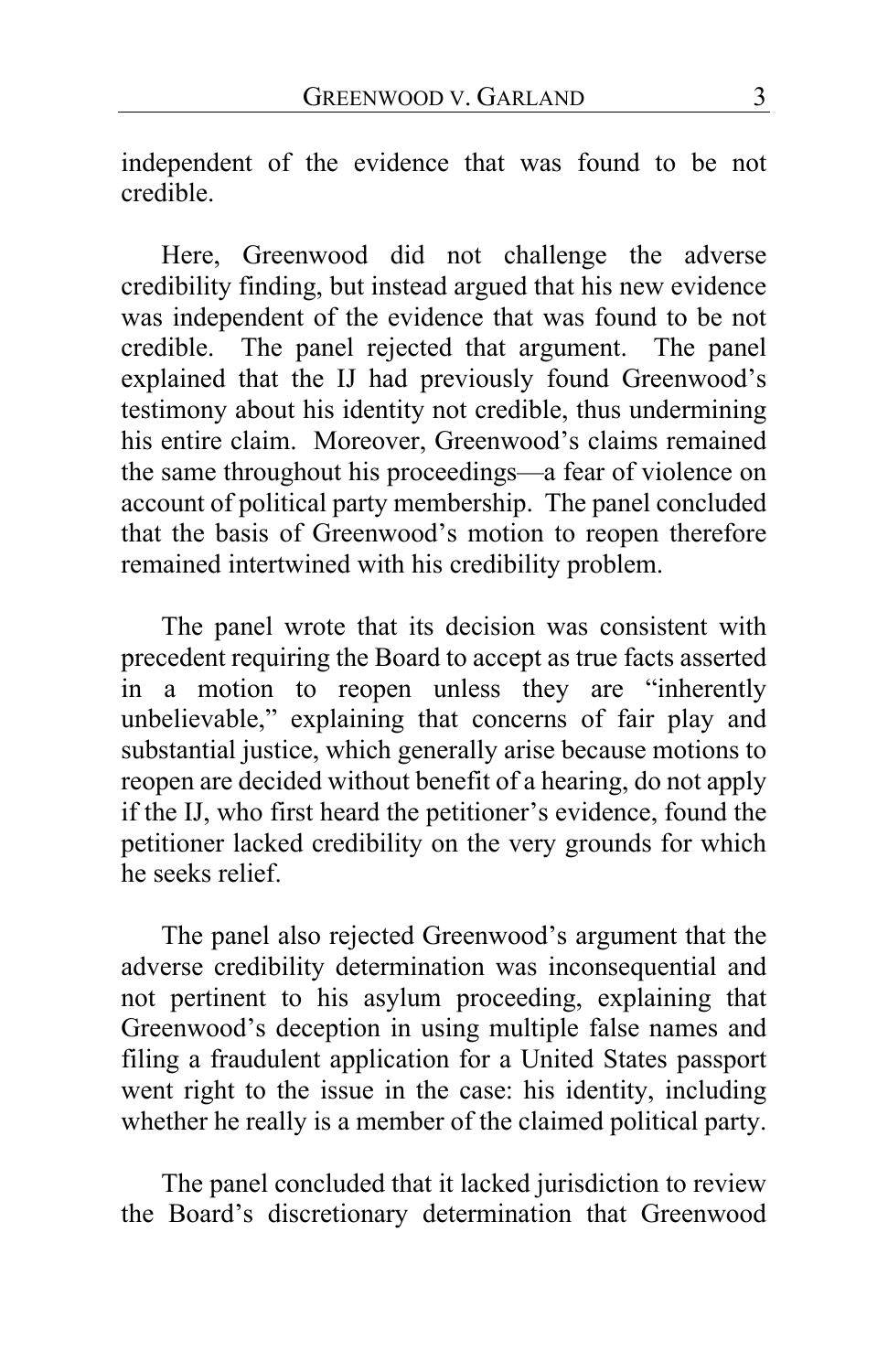independent of the evidence that was found to be not credible.

Here, Greenwood did not challenge the adverse credibility finding, but instead argued that his new evidence was independent of the evidence that was found to be not credible. The panel rejected that argument. The panel explained that the IJ had previously found Greenwood's testimony about his identity not credible, thus undermining his entire claim. Moreover, Greenwood's claims remained the same throughout his proceedings—a fear of violence on account of political party membership. The panel concluded that the basis of Greenwood's motion to reopen therefore remained intertwined with his credibility problem.

The panel wrote that its decision was consistent with precedent requiring the Board to accept as true facts asserted in a motion to reopen unless they are "inherently unbelievable," explaining that concerns of fair play and substantial justice, which generally arise because motions to reopen are decided without benefit of a hearing, do not apply if the IJ, who first heard the petitioner's evidence, found the petitioner lacked credibility on the very grounds for which he seeks relief.

The panel also rejected Greenwood's argument that the adverse credibility determination was inconsequential and not pertinent to his asylum proceeding, explaining that Greenwood's deception in using multiple false names and filing a fraudulent application for a United States passport went right to the issue in the case: his identity, including whether he really is a member of the claimed political party.

The panel concluded that it lacked jurisdiction to review the Board's discretionary determination that Greenwood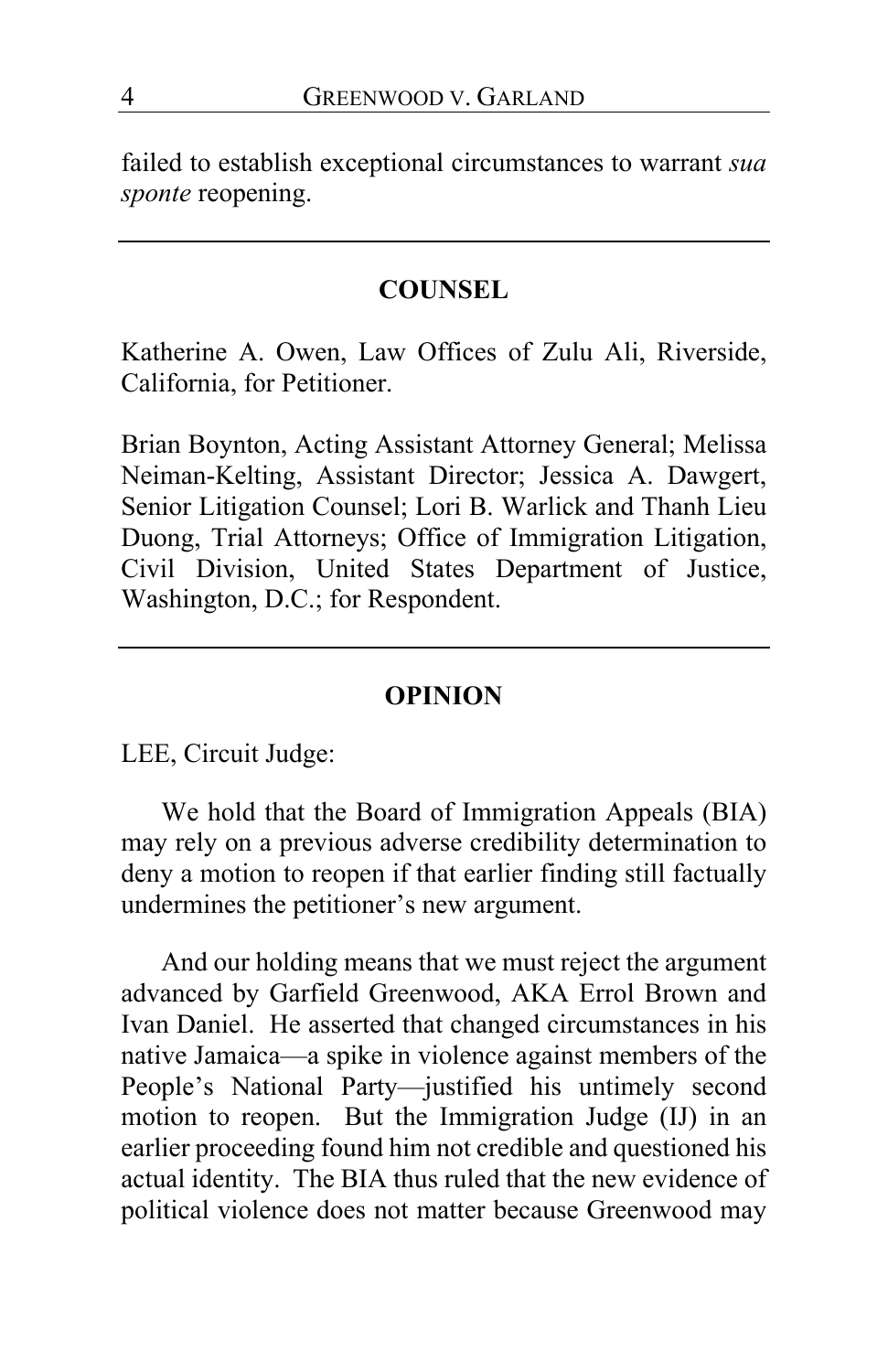failed to establish exceptional circumstances to warrant *sua sponte* reopening.

#### **COUNSEL**

Katherine A. Owen, Law Offices of Zulu Ali, Riverside, California, for Petitioner.

Brian Boynton, Acting Assistant Attorney General; Melissa Neiman-Kelting, Assistant Director; Jessica A. Dawgert, Senior Litigation Counsel; Lori B. Warlick and Thanh Lieu Duong, Trial Attorneys; Office of Immigration Litigation, Civil Division, United States Department of Justice, Washington, D.C.; for Respondent.

#### **OPINION**

LEE, Circuit Judge:

We hold that the Board of Immigration Appeals (BIA) may rely on a previous adverse credibility determination to deny a motion to reopen if that earlier finding still factually undermines the petitioner's new argument.

And our holding means that we must reject the argument advanced by Garfield Greenwood, AKA Errol Brown and Ivan Daniel. He asserted that changed circumstances in his native Jamaica—a spike in violence against members of the People's National Party—justified his untimely second motion to reopen. But the Immigration Judge (IJ) in an earlier proceeding found him not credible and questioned his actual identity. The BIA thus ruled that the new evidence of political violence does not matter because Greenwood may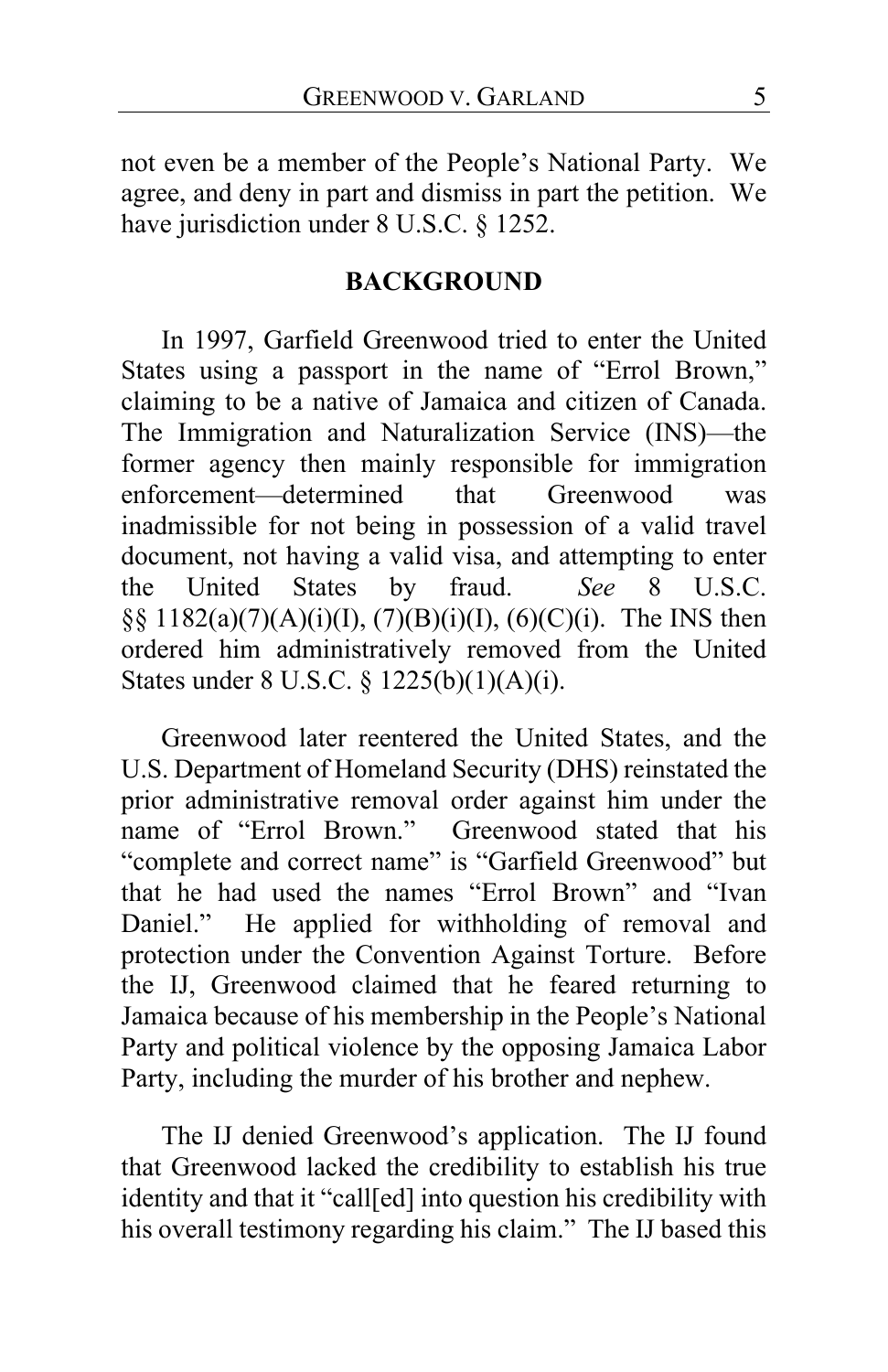not even be a member of the People's National Party. We agree, and deny in part and dismiss in part the petition. We have jurisdiction under 8 U.S.C. § 1252.

#### **BACKGROUND**

In 1997, Garfield Greenwood tried to enter the United States using a passport in the name of "Errol Brown," claiming to be a native of Jamaica and citizen of Canada. The Immigration and Naturalization Service (INS)—the former agency then mainly responsible for immigration enforcement—determined that Greenwood was inadmissible for not being in possession of a valid travel document, not having a valid visa, and attempting to enter the United States by fraud. *See* 8 U.S.C.  $\S$ § 1182(a)(7)(A)(i)(I), (7)(B)(i)(I), (6)(C)(i). The INS then ordered him administratively removed from the United States under 8 U.S.C. § 1225(b)(1)(A)(i).

Greenwood later reentered the United States, and the U.S. Department of Homeland Security (DHS) reinstated the prior administrative removal order against him under the name of "Errol Brown." Greenwood stated that his "complete and correct name" is "Garfield Greenwood" but that he had used the names "Errol Brown" and "Ivan Daniel." He applied for withholding of removal and protection under the Convention Against Torture. Before the IJ, Greenwood claimed that he feared returning to Jamaica because of his membership in the People's National Party and political violence by the opposing Jamaica Labor Party, including the murder of his brother and nephew.

The IJ denied Greenwood's application. The IJ found that Greenwood lacked the credibility to establish his true identity and that it "call[ed] into question his credibility with his overall testimony regarding his claim." The IJ based this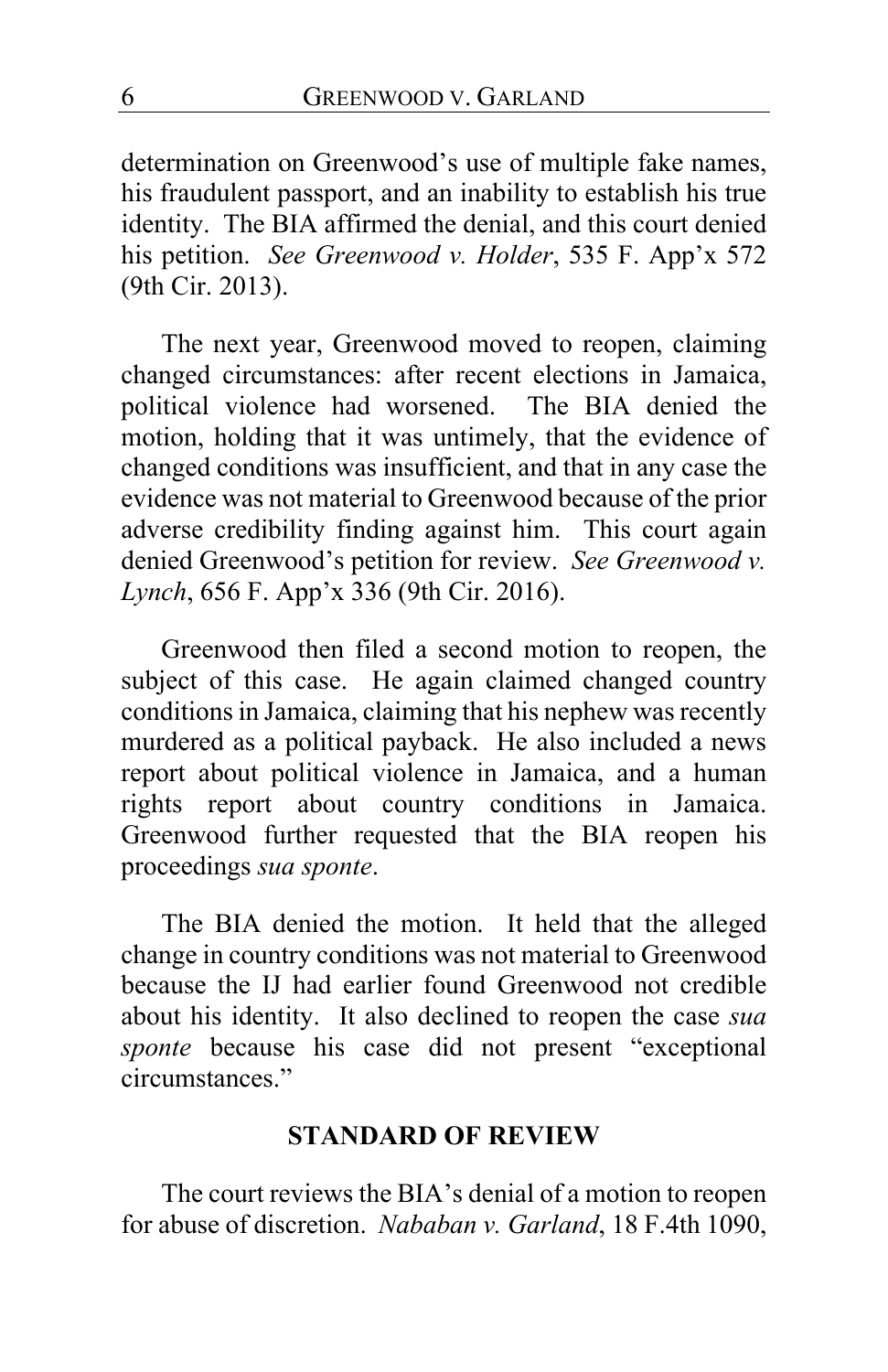determination on Greenwood's use of multiple fake names, his fraudulent passport, and an inability to establish his true identity. The BIA affirmed the denial, and this court denied his petition. *See Greenwood v. Holder*, 535 F. App'x 572 (9th Cir. 2013).

The next year, Greenwood moved to reopen, claiming changed circumstances: after recent elections in Jamaica, political violence had worsened. The BIA denied the motion, holding that it was untimely, that the evidence of changed conditions was insufficient, and that in any case the evidence was not material to Greenwood because of the prior adverse credibility finding against him. This court again denied Greenwood's petition for review. *See Greenwood v. Lynch*, 656 F. App'x 336 (9th Cir. 2016).

Greenwood then filed a second motion to reopen, the subject of this case. He again claimed changed country conditions in Jamaica, claiming that his nephew was recently murdered as a political payback. He also included a news report about political violence in Jamaica, and a human rights report about country conditions in Jamaica. Greenwood further requested that the BIA reopen his proceedings *sua sponte*.

The BIA denied the motion. It held that the alleged change in country conditions was not material to Greenwood because the IJ had earlier found Greenwood not credible about his identity. It also declined to reopen the case *sua sponte* because his case did not present "exceptional circumstances."

### **STANDARD OF REVIEW**

The court reviews the BIA's denial of a motion to reopen for abuse of discretion. *Nababan v. Garland*, 18 F.4th 1090,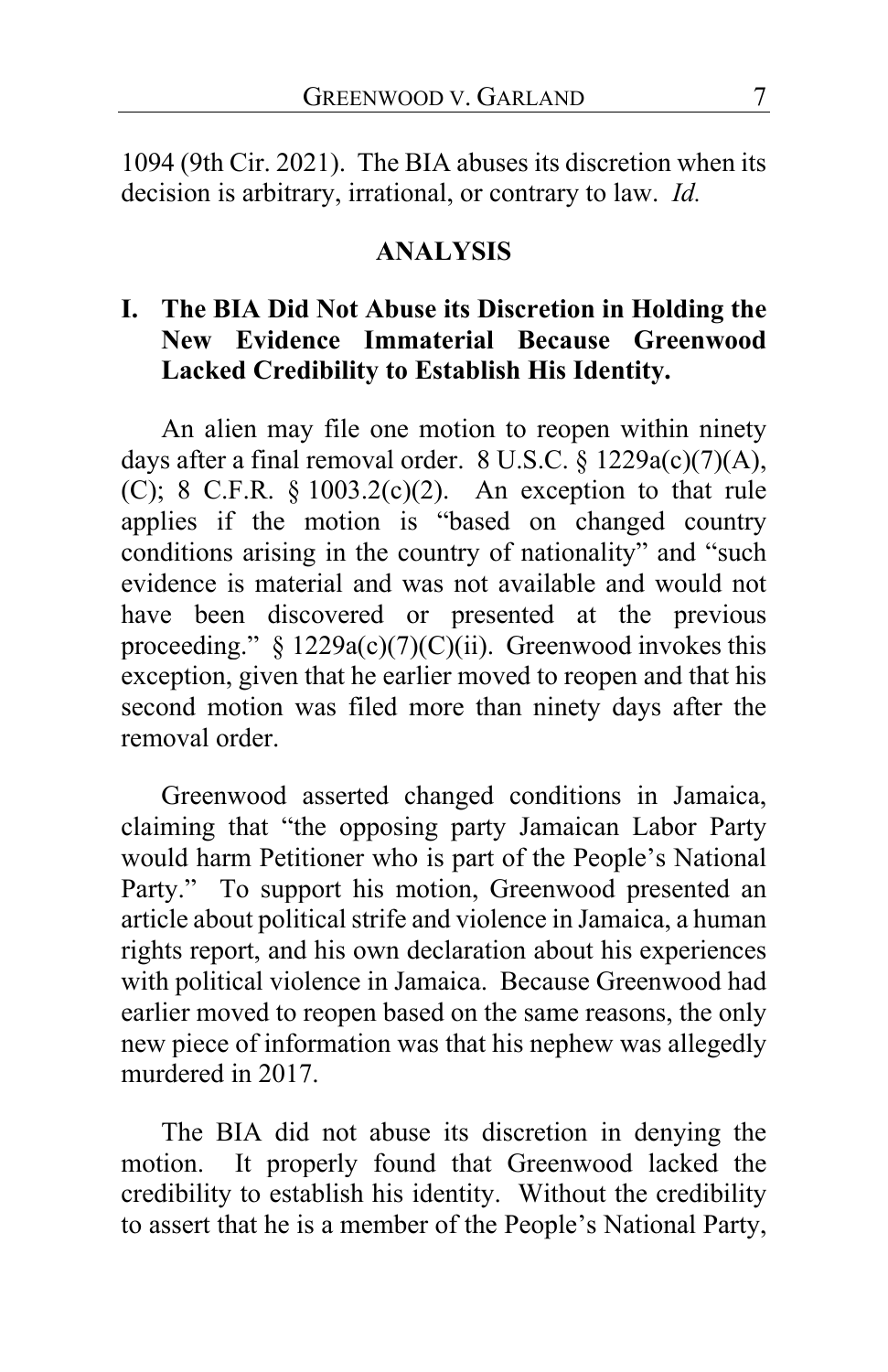1094 (9th Cir. 2021). The BIA abuses its discretion when its decision is arbitrary, irrational, or contrary to law. *Id.*

#### **ANALYSIS**

# **I. The BIA Did Not Abuse its Discretion in Holding the New Evidence Immaterial Because Greenwood Lacked Credibility to Establish His Identity.**

An alien may file one motion to reopen within ninety days after a final removal order. 8 U.S.C. § 1229a(c)(7)(A), (C); 8 C.F.R.  $\S$  1003.2(c)(2). An exception to that rule applies if the motion is "based on changed country conditions arising in the country of nationality" and "such evidence is material and was not available and would not have been discovered or presented at the previous proceeding." §  $1229a(c)(7)(C)(ii)$ . Greenwood invokes this exception, given that he earlier moved to reopen and that his second motion was filed more than ninety days after the removal order.

Greenwood asserted changed conditions in Jamaica, claiming that "the opposing party Jamaican Labor Party would harm Petitioner who is part of the People's National Party." To support his motion, Greenwood presented an article about political strife and violence in Jamaica, a human rights report, and his own declaration about his experiences with political violence in Jamaica. Because Greenwood had earlier moved to reopen based on the same reasons, the only new piece of information was that his nephew was allegedly murdered in 2017.

The BIA did not abuse its discretion in denying the motion. It properly found that Greenwood lacked the credibility to establish his identity. Without the credibility to assert that he is a member of the People's National Party,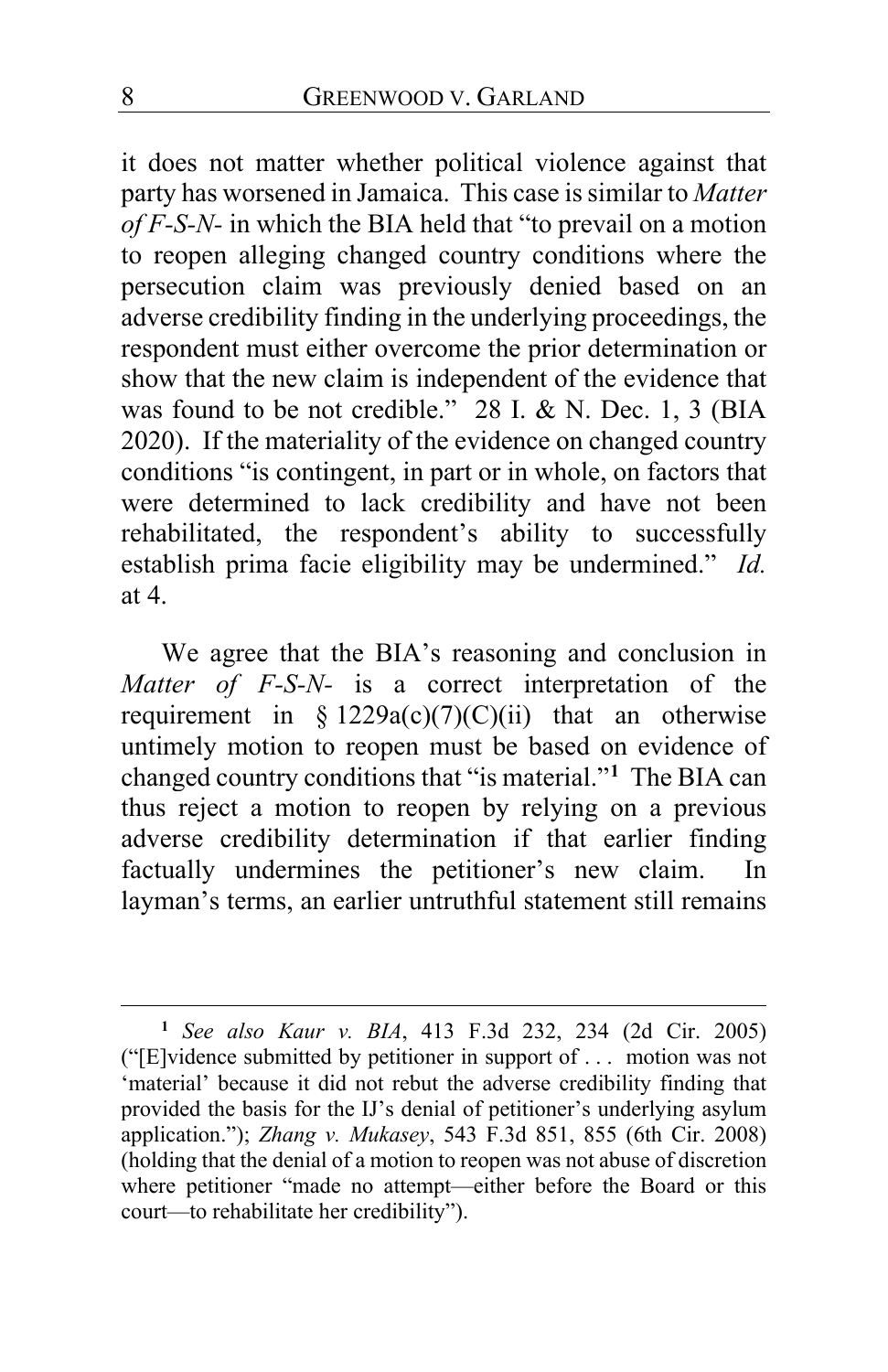it does not matter whether political violence against that party has worsened in Jamaica. This case is similar to *Matter of F-S-N-* in which the BIA held that "to prevail on a motion to reopen alleging changed country conditions where the persecution claim was previously denied based on an adverse credibility finding in the underlying proceedings, the respondent must either overcome the prior determination or show that the new claim is independent of the evidence that was found to be not credible." 28 I. & N. Dec. 1, 3 (BIA 2020). If the materiality of the evidence on changed country conditions "is contingent, in part or in whole, on factors that were determined to lack credibility and have not been rehabilitated, the respondent's ability to successfully establish prima facie eligibility may be undermined." *Id.* at 4.

We agree that the BIA's reasoning and conclusion in *Matter of F-S-N-* is a correct interpretation of the requirement in §  $1229a(c)(7)(C)(ii)$  that an otherwise untimely motion to reopen must be based on evidence of changed country conditions that "is material."**[1](#page-7-0)** The BIA can thus reject a motion to reopen by relying on a previous adverse credibility determination if that earlier finding factually undermines the petitioner's new claim. In layman's terms, an earlier untruthful statement still remains

<span id="page-7-0"></span>**<sup>1</sup>** *See also Kaur v. BIA*, 413 F.3d 232, 234 (2d Cir. 2005) ("[E]vidence submitted by petitioner in support of . . . motion was not 'material' because it did not rebut the adverse credibility finding that provided the basis for the IJ's denial of petitioner's underlying asylum application."); *Zhang v. Mukasey*, 543 F.3d 851, 855 (6th Cir. 2008) (holding that the denial of a motion to reopen was not abuse of discretion where petitioner "made no attempt—either before the Board or this court—to rehabilitate her credibility").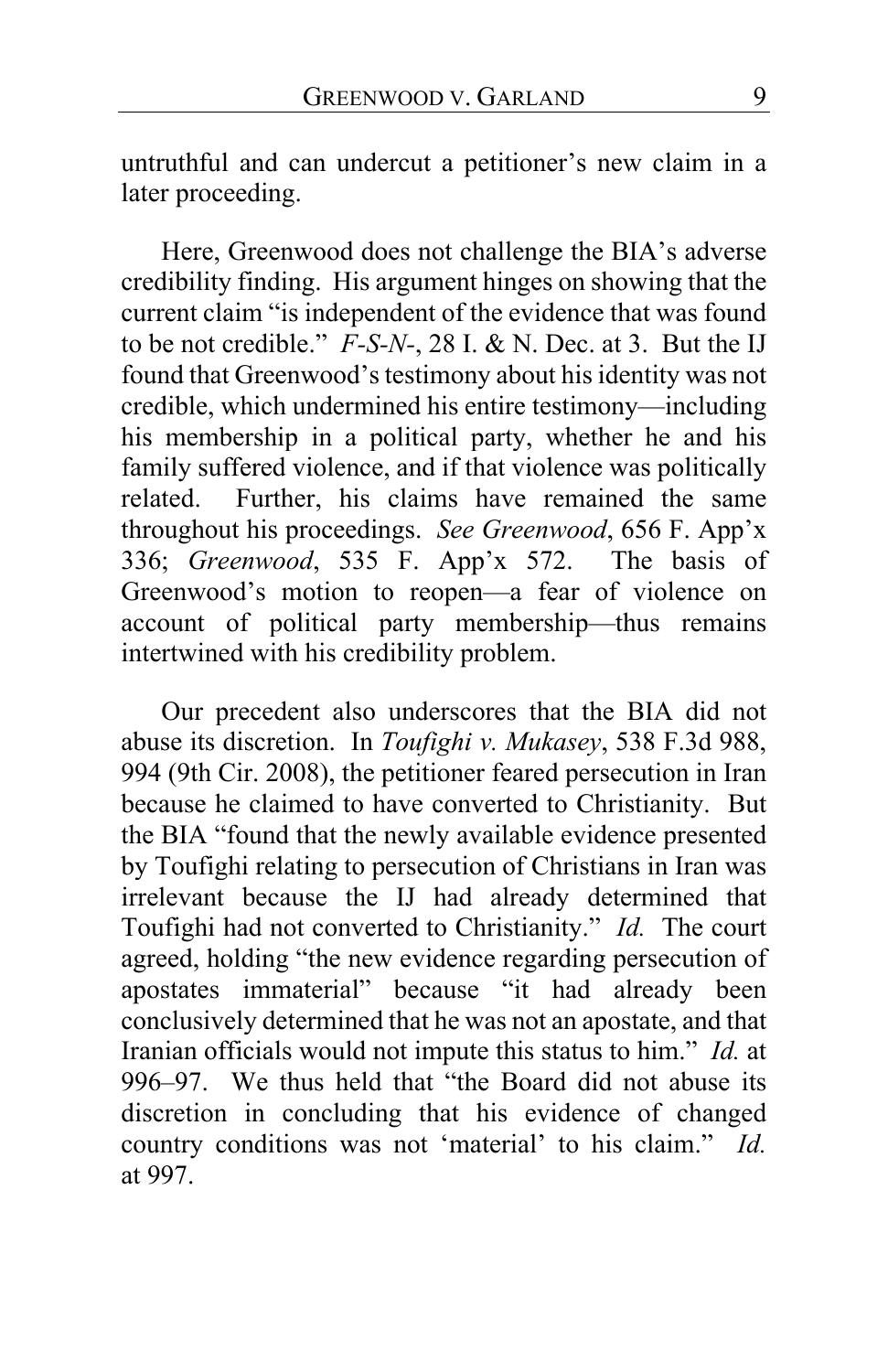untruthful and can undercut a petitioner's new claim in a later proceeding.

Here, Greenwood does not challenge the BIA's adverse credibility finding. His argument hinges on showing that the current claim "is independent of the evidence that was found to be not credible." *F-S-N-*, 28 I. & N. Dec. at 3. But the IJ found that Greenwood's testimony about his identity was not credible, which undermined his entire testimony—including his membership in a political party, whether he and his family suffered violence, and if that violence was politically related. Further, his claims have remained the same throughout his proceedings. *See Greenwood*, 656 F. App'x 336; *Greenwood*, 535 F. App'x 572. The basis of Greenwood's motion to reopen—a fear of violence on account of political party membership—thus remains intertwined with his credibility problem.

Our precedent also underscores that the BIA did not abuse its discretion. In *Toufighi v. Mukasey*, 538 F.3d 988, 994 (9th Cir. 2008), the petitioner feared persecution in Iran because he claimed to have converted to Christianity. But the BIA "found that the newly available evidence presented by Toufighi relating to persecution of Christians in Iran was irrelevant because the IJ had already determined that Toufighi had not converted to Christianity." *Id.* The court agreed, holding "the new evidence regarding persecution of apostates immaterial" because "it had already been conclusively determined that he was not an apostate, and that Iranian officials would not impute this status to him." *Id.* at 996–97. We thus held that "the Board did not abuse its discretion in concluding that his evidence of changed country conditions was not 'material' to his claim." *Id.*  at 997.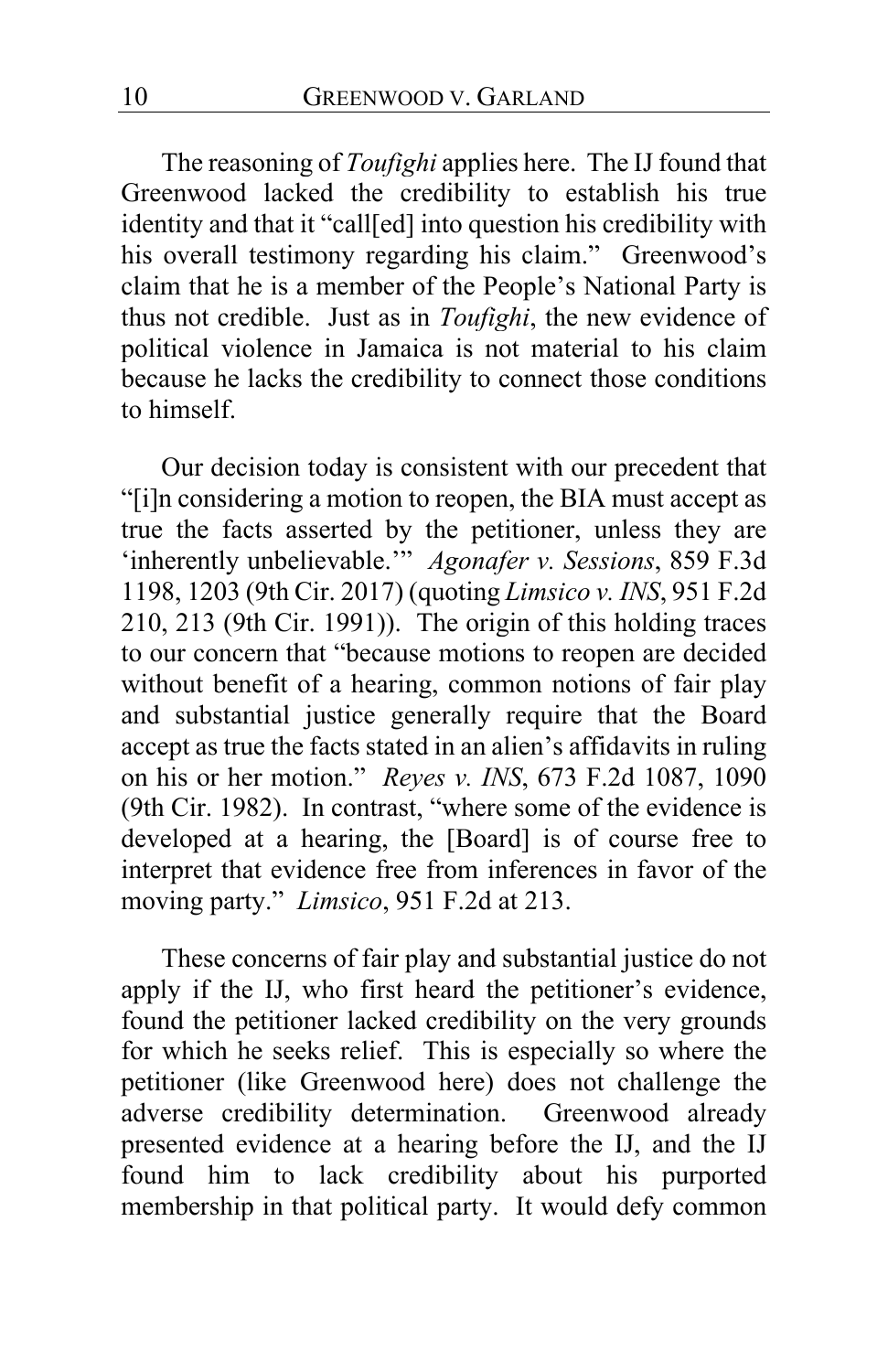The reasoning of *Toufighi* applies here. The IJ found that Greenwood lacked the credibility to establish his true identity and that it "call[ed] into question his credibility with his overall testimony regarding his claim." Greenwood's claim that he is a member of the People's National Party is thus not credible. Just as in *Toufighi*, the new evidence of political violence in Jamaica is not material to his claim because he lacks the credibility to connect those conditions to himself.

Our decision today is consistent with our precedent that "[i]n considering a motion to reopen, the BIA must accept as true the facts asserted by the petitioner, unless they are 'inherently unbelievable.'" *Agonafer v. Sessions*, 859 F.3d 1198, 1203 (9th Cir. 2017) (quoting *Limsico v. INS*, 951 F.2d 210, 213 (9th Cir. 1991)). The origin of this holding traces to our concern that "because motions to reopen are decided without benefit of a hearing, common notions of fair play and substantial justice generally require that the Board accept as true the facts stated in an alien's affidavits in ruling on his or her motion." *Reyes v. INS*, 673 F.2d 1087, 1090 (9th Cir. 1982). In contrast, "where some of the evidence is developed at a hearing, the [Board] is of course free to interpret that evidence free from inferences in favor of the moving party." *Limsico*, 951 F.2d at 213.

These concerns of fair play and substantial justice do not apply if the IJ, who first heard the petitioner's evidence, found the petitioner lacked credibility on the very grounds for which he seeks relief. This is especially so where the petitioner (like Greenwood here) does not challenge the adverse credibility determination. Greenwood already presented evidence at a hearing before the IJ, and the IJ found him to lack credibility about his purported membership in that political party. It would defy common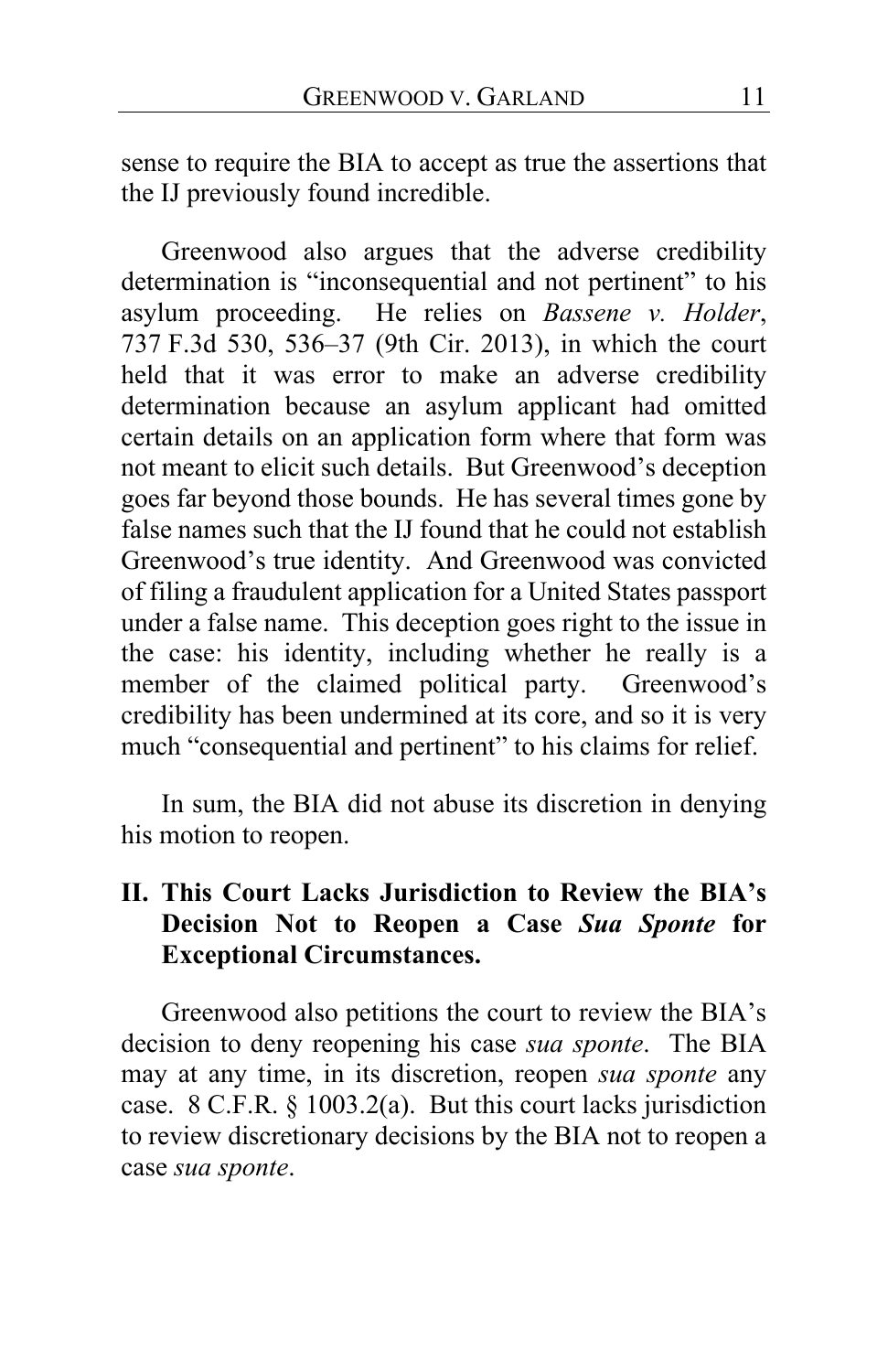sense to require the BIA to accept as true the assertions that the IJ previously found incredible.

Greenwood also argues that the adverse credibility determination is "inconsequential and not pertinent" to his asylum proceeding. He relies on *Bassene v. Holder*, 737 F.3d 530, 536–37 (9th Cir. 2013), in which the court held that it was error to make an adverse credibility determination because an asylum applicant had omitted certain details on an application form where that form was not meant to elicit such details. But Greenwood's deception goes far beyond those bounds. He has several times gone by false names such that the IJ found that he could not establish Greenwood's true identity. And Greenwood was convicted of filing a fraudulent application for a United States passport under a false name. This deception goes right to the issue in the case: his identity, including whether he really is a member of the claimed political party. Greenwood's credibility has been undermined at its core, and so it is very much "consequential and pertinent" to his claims for relief.

In sum, the BIA did not abuse its discretion in denying his motion to reopen.

# **II. This Court Lacks Jurisdiction to Review the BIA's Decision Not to Reopen a Case** *Sua Sponte* **for Exceptional Circumstances.**

Greenwood also petitions the court to review the BIA's decision to deny reopening his case *sua sponte*. The BIA may at any time, in its discretion, reopen *sua sponte* any case. 8 C.F.R. § 1003.2(a). But this court lacks jurisdiction to review discretionary decisions by the BIA not to reopen a case *sua sponte*.